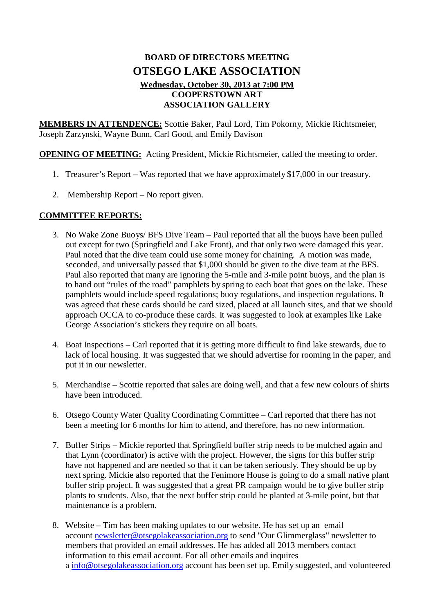## **BOARD OF DIRECTORS MEETING OTSEGO LAKE ASSOCIATION Wednesday, October 30, 2013 at 7:00 PM COOPERSTOWN ART ASSOCIATION GALLERY**

**MEMBERS IN ATTENDENCE:** Scottie Baker, Paul Lord, Tim Pokorny, Mickie Richtsmeier, Joseph Zarzynski, Wayne Bunn, Carl Good, and Emily Davison

**OPENING OF MEETING:** Acting President, Mickie Richtsmeier, called the meeting to order.

- 1. Treasurer's Report Was reported that we have approximately \$17,000 in our treasury.
- 2. Membership Report No report given.

## **COMMITTEE REPORTS:**

- 3. No Wake Zone Buoys/ BFS Dive Team Paul reported that all the buoys have been pulled out except for two (Springfield and Lake Front), and that only two were damaged this year. Paul noted that the dive team could use some money for chaining. A motion was made, seconded, and universally passed that \$1,000 should be given to the dive team at the BFS. Paul also reported that many are ignoring the 5-mile and 3-mile point buoys, and the plan is to hand out "rules of the road" pamphlets by spring to each boat that goes on the lake. These pamphlets would include speed regulations; buoy regulations, and inspection regulations. It was agreed that these cards should be card sized, placed at all launch sites, and that we should approach OCCA to co-produce these cards. It was suggested to look at examples like Lake George Association's stickers they require on all boats.
- 4. Boat Inspections Carl reported that it is getting more difficult to find lake stewards, due to lack of local housing. It was suggested that we should advertise for rooming in the paper, and put it in our newsletter.
- 5. Merchandise Scottie reported that sales are doing well, and that a few new colours of shirts have been introduced.
- 6. Otsego County Water Quality Coordinating Committee Carl reported that there has not been a meeting for 6 months for him to attend, and therefore, has no new information.
- 7. Buffer Strips Mickie reported that Springfield buffer strip needs to be mulched again and that Lynn (coordinator) is active with the project. However, the signs for this buffer strip have not happened and are needed so that it can be taken seriously. They should be up by next spring. Mickie also reported that the Fenimore House is going to do a small native plant buffer strip project. It was suggested that a great PR campaign would be to give buffer strip plants to students. Also, that the next buffer strip could be planted at 3-mile point, but that maintenance is a problem.
- 8. Website Tim has been making updates to our website. He has set up an email account [newsletter@otsegolakeassociation.org](mailto:newsletter@otsegolakeassociation.org) to send "Our Glimmerglass" newsletter to members that provided an email addresses. He has added all 2013 members contact information to this email account. For all other emails and inquires a [info@otsegolakeassociation.org](mailto:info@otsegolakeassociation.org) account has been set up. Emily suggested, and volunteered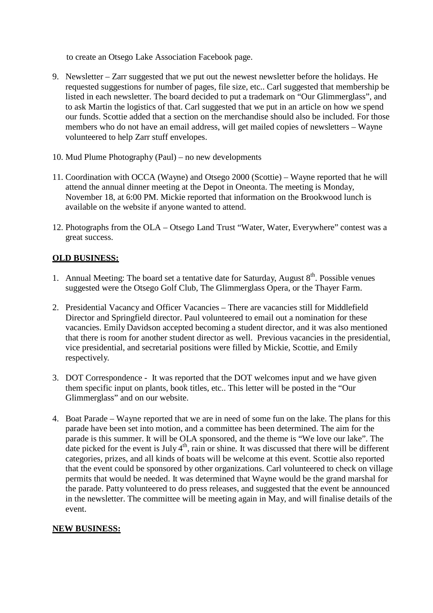to create an Otsego Lake Association Facebook page.

- 9. Newsletter Zarr suggested that we put out the newest newsletter before the holidays. He requested suggestions for number of pages, file size, etc.. Carl suggested that membership be listed in each newsletter. The board decided to put a trademark on "Our Glimmerglass", and to ask Martin the logistics of that. Carl suggested that we put in an article on how we spend our funds. Scottie added that a section on the merchandise should also be included. For those members who do not have an email address, will get mailed copies of newsletters – Wayne volunteered to help Zarr stuff envelopes.
- 10. Mud Plume Photography (Paul) no new developments
- 11. Coordination with OCCA (Wayne) and Otsego 2000 (Scottie) Wayne reported that he will attend the annual dinner meeting at the Depot in Oneonta. The meeting is Monday, November 18, at 6:00 PM. Mickie reported that information on the Brookwood lunch is available on the website if anyone wanted to attend.
- 12. Photographs from the OLA Otsego Land Trust "Water, Water, Everywhere" contest was a great success.

## **OLD BUSINESS:**

- 1. Annual Meeting: The board set a tentative date for Saturday, August  $8<sup>th</sup>$ . Possible venues suggested were the Otsego Golf Club, The Glimmerglass Opera, or the Thayer Farm.
- 2. Presidential Vacancy and Officer Vacancies There are vacancies still for Middlefield Director and Springfield director. Paul volunteered to email out a nomination for these vacancies. Emily Davidson accepted becoming a student director, and it was also mentioned that there is room for another student director as well. Previous vacancies in the presidential, vice presidential, and secretarial positions were filled by Mickie, Scottie, and Emily respectively.
- 3. DOT Correspondence It was reported that the DOT welcomes input and we have given them specific input on plants, book titles, etc.. This letter will be posted in the "Our Glimmerglass" and on our website.
- 4. Boat Parade Wayne reported that we are in need of some fun on the lake. The plans for this parade have been set into motion, and a committee has been determined. The aim for the parade is this summer. It will be OLA sponsored, and the theme is "We love our lake". The date picked for the event is July  $4<sup>th</sup>$ , rain or shine. It was discussed that there will be different categories, prizes, and all kinds of boats will be welcome at this event. Scottie also reported that the event could be sponsored by other organizations. Carl volunteered to check on village permits that would be needed. It was determined that Wayne would be the grand marshal for the parade. Patty volunteered to do press releases, and suggested that the event be announced in the newsletter. The committee will be meeting again in May, and will finalise details of the event.

## **NEW BUSINESS:**